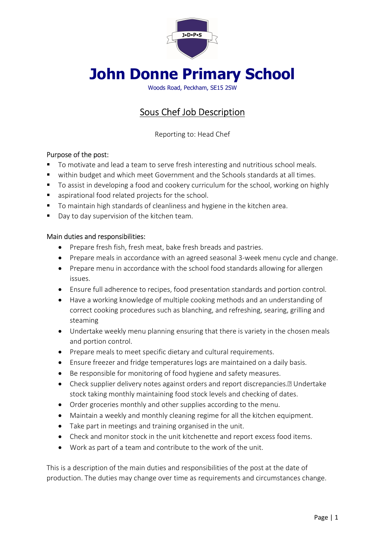

# John Donne Primary School

Woods Road, Peckham, SE15 2SW

# Sous Chef Job Description

Reporting to: Head Chef

## Purpose of the post:

- To motivate and lead a team to serve fresh interesting and nutritious school meals.
- within budget and which meet Government and the Schools standards at all times.
- To assist in developing a food and cookery curriculum for the school, working on highly
- aspirational food related projects for the school.
- To maintain high standards of cleanliness and hygiene in the kitchen area.
- Day to day supervision of the kitchen team.

#### Main duties and responsibilities:

- Prepare fresh fish, fresh meat, bake fresh breads and pastries.
- Prepare meals in accordance with an agreed seasonal 3-week menu cycle and change.
- Prepare menu in accordance with the school food standards allowing for allergen issues.
- Ensure full adherence to recipes, food presentation standards and portion control.
- Have a working knowledge of multiple cooking methods and an understanding of correct cooking procedures such as blanching, and refreshing, searing, grilling and steaming
- Undertake weekly menu planning ensuring that there is variety in the chosen meals and portion control.
- Prepare meals to meet specific dietary and cultural requirements.
- Ensure freezer and fridge temperatures logs are maintained on a daily basis.
- Be responsible for monitoring of food hygiene and safety measures.
- Check supplier delivery notes against orders and report discrepancies.<sup>[2]</sup> Undertake stock taking monthly maintaining food stock levels and checking of dates.
- Order groceries monthly and other supplies according to the menu.
- Maintain a weekly and monthly cleaning regime for all the kitchen equipment.
- Take part in meetings and training organised in the unit.
- Check and monitor stock in the unit kitchenette and report excess food items.
- Work as part of a team and contribute to the work of the unit.

This is a description of the main duties and responsibilities of the post at the date of production. The duties may change over time as requirements and circumstances change.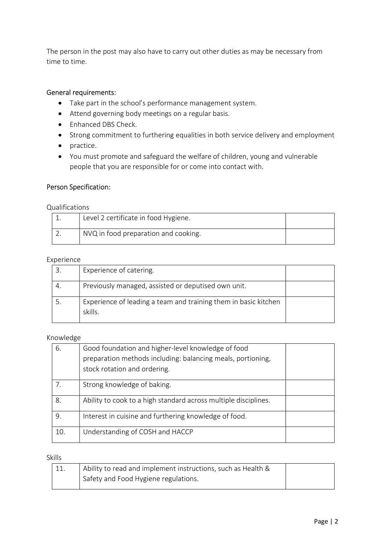The person in the post may also have to carry out other duties as may be necessary from time to time.

## General requirements:

- Take part in the school's performance management system.
- Attend governing body meetings on a regular basis.
- Enhanced DBS Check.
- Strong commitment to furthering equalities in both service delivery and employment
- practice.
- You must promote and safeguard the welfare of children, young and vulnerable people that you are responsible for or come into contact with.

#### Person Specification:

Qualifications

| Level 2 certificate in food Hygiene. |  |
|--------------------------------------|--|
| NVQ in food preparation and cooking. |  |

#### Experience

| Experience of catering.                                                    |  |
|----------------------------------------------------------------------------|--|
| Previously managed, assisted or deputised own unit.                        |  |
| Experience of leading a team and training them in basic kitchen<br>skills. |  |

#### Knowledge

| 6.  | Good foundation and higher-level knowledge of food<br>preparation methods including: balancing meals, portioning,<br>stock rotation and ordering. |  |
|-----|---------------------------------------------------------------------------------------------------------------------------------------------------|--|
| 7.  | Strong knowledge of baking.                                                                                                                       |  |
| 8.  | Ability to cook to a high standard across multiple disciplines.                                                                                   |  |
| 9.  | Interest in cuisine and furthering knowledge of food.                                                                                             |  |
| 10. | Understanding of COSH and HACCP                                                                                                                   |  |

#### Skills

| 11. | Ability to read and implement instructions, such as Health & |  |
|-----|--------------------------------------------------------------|--|
|     | Safety and Food Hygiene regulations.                         |  |